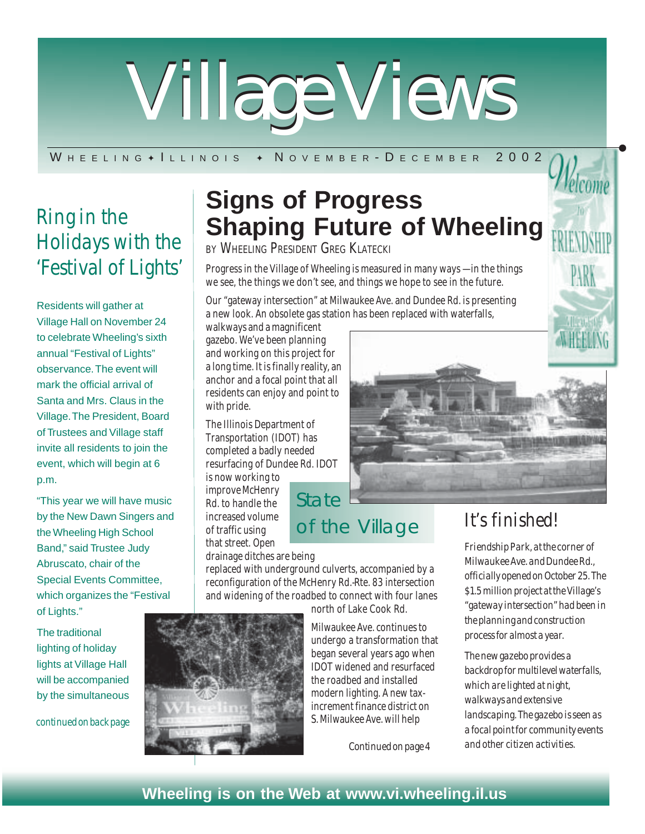

#### W H E E L I N G + I L L I N O I S + N O V E M B E R - D E C E M B E R 2002

# *Ring in the Holidays with the*

Residents will gather at Village Hall on November 24 to celebrate Wheeling's sixth annual "Festival of Lights" observance. The event will mark the official arrival of Santa and Mrs. Claus in the Village. The President, Board of Trustees and Village staff invite all residents to join the event, which will begin at 6 p.m.

"This year we will have music by the New Dawn Singers and the Wheeling High School Band," said Trustee Judy Abruscato, chair of the Special Events Committee, which organizes the "Festival of Lights."

The traditional lighting of holiday lights at Village Hall will be accompanied by the simultaneous

*continued on back page*

# **Signs of Progress Shaping Future of Wheeling**

BY WHEELING PRESIDENT GREG KLATECKL

'Festival of Lights'  $\mid$  Progress in the Village of Wheeling is measured in many ways – in the things we see, the things we don't see, and things we hope to see in the future.

> Our "gateway intersection" at Milwaukee Ave. and Dundee Rd. is presenting a new look. An obsolete gas station has been replaced with waterfalls,

walkways and a magnificent gazebo. We've been planning and working on this project for a long time. It is finally reality, an anchor and a focal point that all residents can enjoy and point to with pride.

The Illinois Department of Transportation (IDOT) has completed a badly needed resurfacing of Dundee Rd. IDOT is now working to

improve McHenry Rd. to handle the increased volume of traffic using that street. Open

drainage ditches are being

replaced with underground culverts, accompanied by a reconfiguration of the McHenry Rd.-Rte. 83 intersection and widening of the roadbed to connect with four lanes

State

north of Lake Cook Rd. Milwaukee Ave. continues to undergo a transformation that began several years ago when IDOT widened and resurfaced the roadbed and installed modern lighting. A new tax-

of the Village

increment finance district on S. Milwaukee Ave. will help

*Continued on page 4*



### *It's finished!*

*Friendship Park, at the corner of Milwaukee Ave. and Dundee Rd., officially opened on October 25. The \$1.5 million project at the Village's "gateway intersection" had been in the planning and construction process for almost a year.*

*The new gazebo provides a backdrop for multilevel waterfalls, which are lighted at night, walkways and extensive landscaping. The gazebo is seen as a focal point for community events and other citizen activities.*

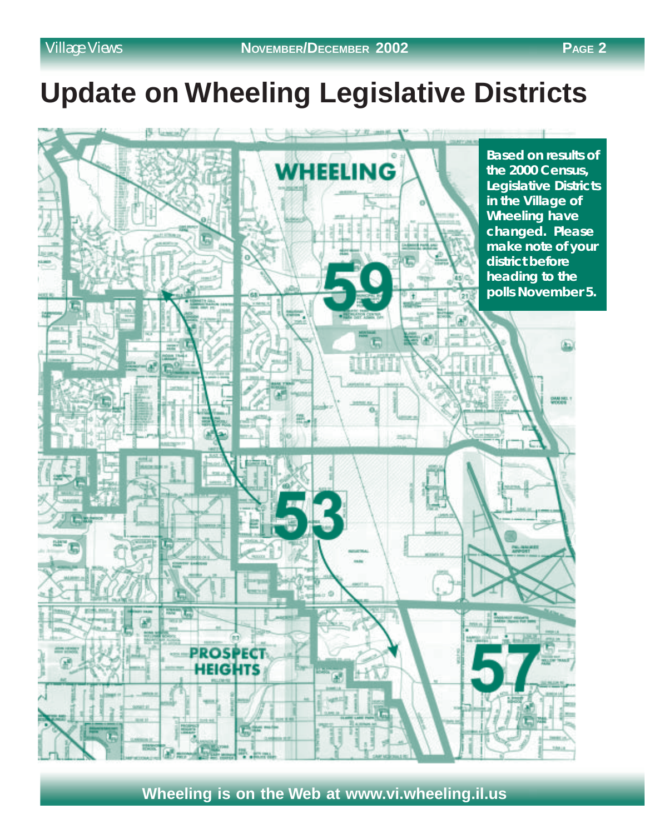# **Update on Wheeling Legislative Districts**

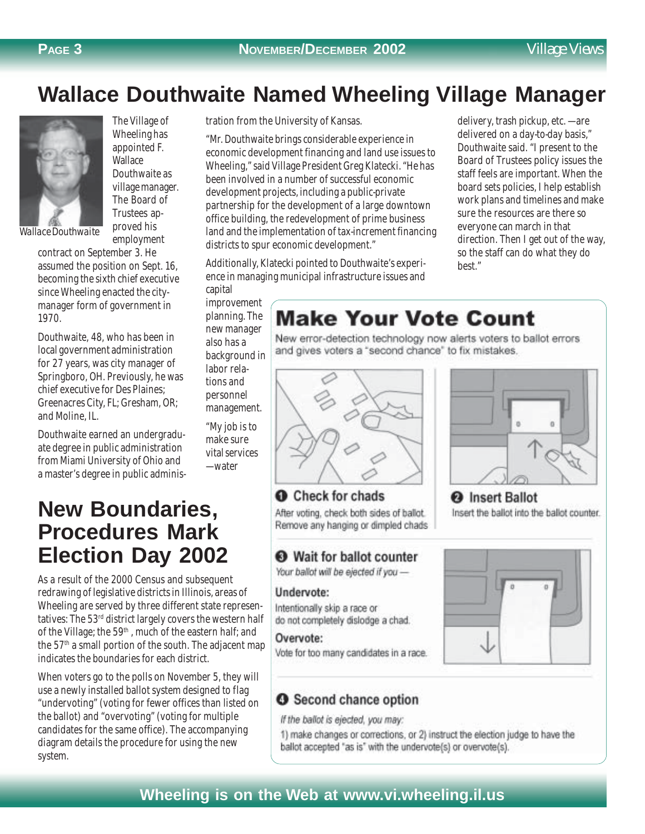delivery, trash pickup, etc. — are delivered on a day-to-day basis," Douthwaite said. "I present to the Board of Trustees policy issues the staff feels are important. When the board sets policies, I help establish work plans and timelines and make sure the resources are there so everyone can march in that

direction. Then I get out of the way, so the staff can do what they do

# **Wallace Douthwaite Named Wheeling Village Manager**



The Village of Wheeling has appointed F. **Wallace** Douthwaite as village manager. The Board of Trustees approved his employment

contract on September 3. He assumed the position on Sept. 16, becoming the sixth chief executive since Wheeling enacted the citymanager form of government in 1970.

Douthwaite, 48, who has been in local government administration for 27 years, was city manager of Springboro, OH. Previously, he was chief executive for Des Plaines; Greenacres City, FL; Gresham, OR; and Moline, IL.

Douthwaite earned an undergraduate degree in public administration from Miami University of Ohio and a master's degree in public adminis-

### **New Boundaries, Procedures Mark Election Day 2002**

As a result of the 2000 Census and subsequent redrawing of legislative districts in Illinois, areas of Wheeling are served by three different state representatives: The 53rd district largely covers the western half of the Village; the 59<sup>th</sup>, much of the eastern half; and the  $57<sup>th</sup>$  a small portion of the south. The adjacent map indicates the boundaries for each district.

When voters go to the polls on November 5, they will use a newly installed ballot system designed to flag "undervoting" (voting for fewer offices than listed on the ballot) and "overvoting" (voting for multiple candidates for the same office). The accompanying diagram details the procedure for using the new system.

tration from the University of Kansas.

"Mr. Douthwaite brings considerable experience in economic development financing and land use issues to Wheeling," said Village President Greg Klatecki. "He has been involved in a number of successful economic development projects, including a public-private partnership for the development of a large downtown office building, the redevelopment of prime business land and the implementation of tax-increment financing districts to spur economic development."

Additionally, Klatecki pointed to Douthwaite's experience in managing municipal infrastructure issues and

capital improvement

tions and

— water

planning. The new manager also has a background in

# **Make Your Vote Count**

New error-detection technology now alerts voters to ballot errors and gives voters a "second chance" to fix mistakes.

best."



**O** Check for chads After voting, check both sides of ballot. Remove any hanging or dimpled chads

### Wait for ballot counter

Your ballot will be ejected if you -

#### Undervote:

Intentionally skip a race or do not completely dislodge a chad.

#### Overvote:

Vote for too many candidates in a race.



Insert the ballot into the ballot counter.



### **O** Second chance option

If the ballot is ejected, you may:

1) make changes or corrections, or 2) instruct the election judge to have the ballot accepted "as is" with the undervote(s) or overvote(s).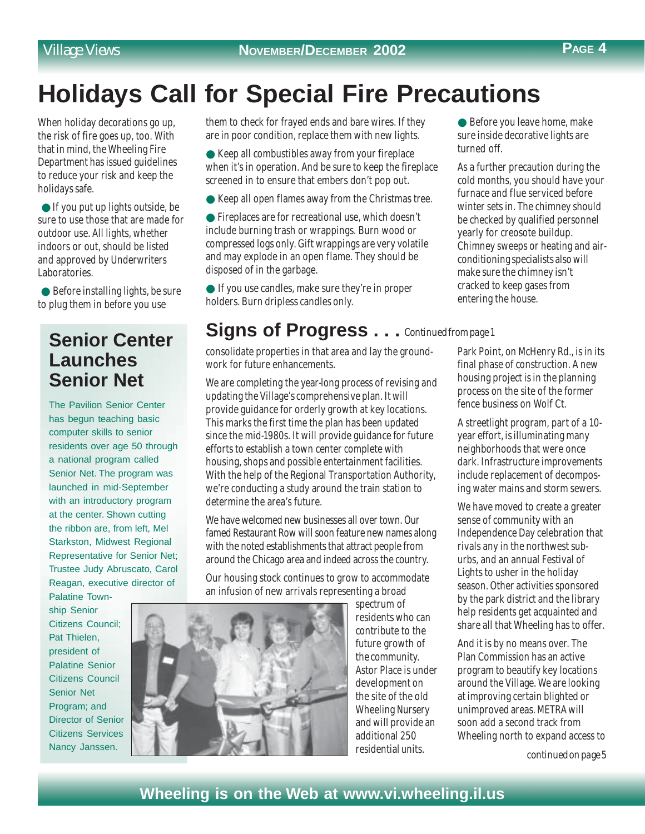# **Holidays Call for Special Fire Precautions**

When holiday decorations go up, the risk of fire goes up, too. With that in mind, the Wheeling Fire Department has issued guidelines to reduce your risk and keep the holidays safe.

 $\bullet$  If you put up lights outside, be sure to use those that are made for outdoor use. All lights, whether indoors or out, should be listed and approved by Underwriters Laboratories.

 $\bullet$  Before installing lights, be sure to plug them in before you use

### **Senior Center Launches Senior Net**

The Pavilion Senior Center has begun teaching basic computer skills to senior residents over age 50 through a national program called Senior Net. The program was launched in mid-September with an introductory program at the center. Shown cutting the ribbon are, from left, Mel Starkston, Midwest Regional Representative for Senior Net; Trustee Judy Abruscato, Carol Reagan, executive director of

Palatine Township Senior Citizens Council; Pat Thielen, president of Palatine Senior Citizens Council Senior Net Program; and Director of Senior Citizens Services Nancy Janssen.

them to check for frayed ends and bare wires. If they are in poor condition, replace them with new lights.

● Keep all combustibles away from your fireplace when it's in operation. And be sure to keep the fireplace screened in to ensure that embers don't pop out.

- Keep all open flames away from the Christmas tree.
- Fireplaces are for recreational use, which doesn't include burning trash or wrappings. Burn wood or compressed logs only. Gift wrappings are very volatile and may explode in an open flame. They should be disposed of in the garbage.

● If you use candles, make sure they're in proper holders. Burn dripless candles only.

### **Signs of Progress . . .** *Continued from page 1*

consolidate properties in that area and lay the groundwork for future enhancements.

We are completing the year-long process of revising and updating the Village's comprehensive plan. It will provide guidance for orderly growth at key locations. This marks the first time the plan has been updated since the mid-1980s. It will provide guidance for future efforts to establish a town center complete with housing, shops and possible entertainment facilities. With the help of the Regional Transportation Authority, we're conducting a study around the train station to determine the area's future.

We have welcomed new businesses all over town. Our famed Restaurant Row will soon feature new names along with the noted establishments that attract people from around the Chicago area and indeed across the country.

Our housing stock continues to grow to accommodate an infusion of new arrivals representing a broad



spectrum of residents who can contribute to the future growth of the community. Astor Place is under development on the site of the old Wheeling Nursery and will provide an additional 250 residential units.

● Before you leave home, make sure inside decorative lights are turned off.

As a further precaution during the cold months, you should have your furnace and flue serviced before winter sets in. The chimney should be checked by qualified personnel yearly for creosote buildup. Chimney sweeps or heating and airconditioning specialists also will make sure the chimney isn't cracked to keep gases from entering the house.

Park Point, on McHenry Rd., is in its final phase of construction. A new housing project is in the planning process on the site of the former fence business on Wolf Ct.

A streetlight program, part of a 10 year effort, is illuminating many neighborhoods that were once dark. Infrastructure improvements include replacement of decomposing water mains and storm sewers.

We have moved to create a greater sense of community with an Independence Day celebration that rivals any in the northwest suburbs, and an annual Festival of Lights to usher in the holiday season. Other activities sponsored by the park district and the library help residents get acquainted and share all that Wheeling has to offer.

And it is by no means over. The Plan Commission has an active program to beautify key locations around the Village. We are looking at improving certain blighted or unimproved areas. METRA will soon add a second track from Wheeling north to expand access to

*continued on page 5*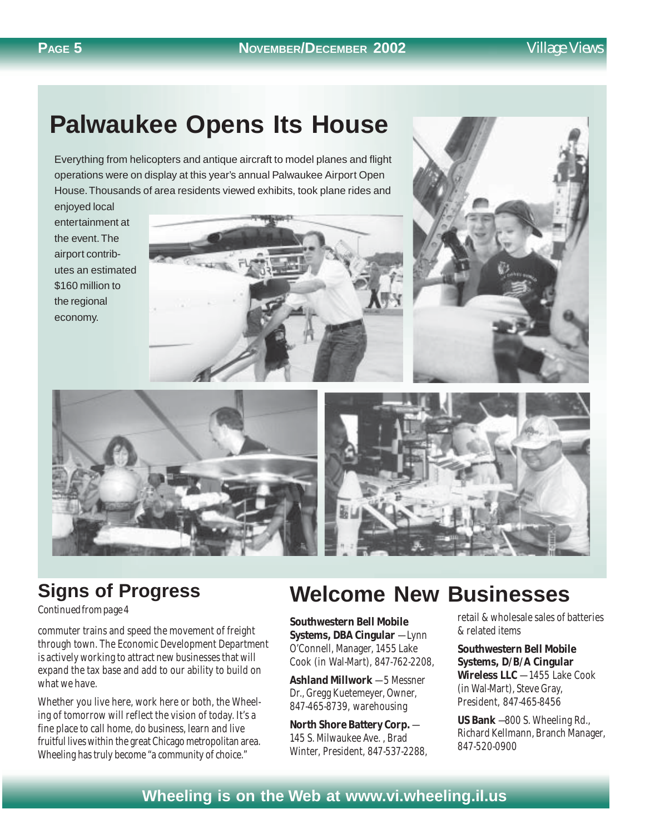## **Palwaukee Opens Its House**

Everything from helicopters and antique aircraft to model planes and flight operations were on display at this year's annual Palwaukee Airport Open House. Thousands of area residents viewed exhibits, took plane rides and

enjoyed local entertainment at the event. The airport contributes an estimated \$160 million to the regional economy.







### **Signs of Progress**

#### *Continued from page 4*

commuter trains and speed the movement of freight through town. The Economic Development Department is actively working to attract new businesses that will expand the tax base and add to our ability to build on what we have.

Whether you live here, work here or both, the Wheeling of tomorrow will reflect the vision of today. It's a fine place to call home, do business, learn and live fruitful lives within the great Chicago metropolitan area. Wheeling has truly become "a community of choice."

## **Welcome New Businesses**

**Southwestern Bell Mobile Systems, DBA Cingular** — Lynn O'Connell, Manager, 1455 Lake Cook (in Wal-Mart), 847-762-2208,

**Ashland Millwork** — 5 Messner Dr., Gregg Kuetemeyer, Owner, 847-465-8739, warehousing

**North Shore Battery Corp.** — 145 S. Milwaukee Ave. , Brad Winter, President, 847-537-2288, retail & wholesale sales of batteries & related items

**Southwestern Bell Mobile Systems, D/B/A Cingular Wireless LLC** — 1455 Lake Cook (in Wal-Mart), Steve Gray, President, 847-465-8456

**US Bank** —800 S. Wheeling Rd., Richard Kellmann, Branch Manager, 847-520-0900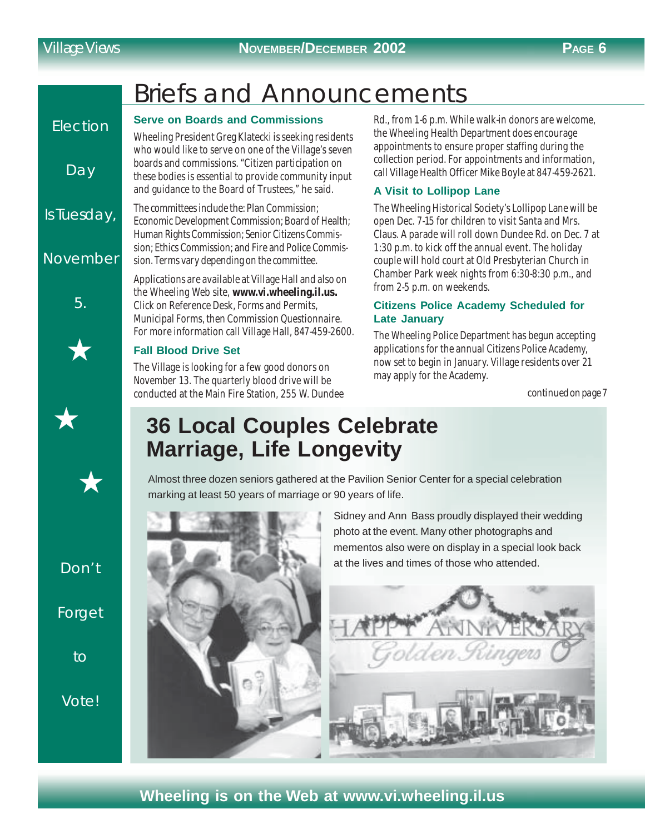**Flection** 

Day

Is Tuesday,

November

5.

# Briefs and Announcements

#### **Serve on Boards and Commissions**

Wheeling President Greg Klatecki is seeking residents who would like to serve on one of the Village's seven boards and commissions. "Citizen participation on these bodies is essential to provide community input and guidance to the Board of Trustees," he said.

The committees include the: Plan Commission; Economic Development Commission; Board of Health; Human Rights Commission; Senior Citizens Commission; Ethics Commission; and Fire and Police Commission. Terms vary depending on the committee.

Applications are available at Village Hall and also on the Wheeling Web site, **www.vi.wheeling.il.us.** Click on Reference Desk, Forms and Permits, Municipal Forms, then Commission Questionnaire. For more information call Village Hall, 847-459-2600.

#### **Fall Blood Drive Set**

The Village is looking for a few good donors on November 13. The quarterly blood drive will be conducted at the Main Fire Station, 255 W. Dundee Rd., from 1-6 p.m. While walk-in donors are welcome, the Wheeling Health Department does encourage appointments to ensure proper staffing during the collection period. For appointments and information, call Village Health Officer Mike Boyle at 847-459-2621.

### **A Visit to Lollipop Lane**

The Wheeling Historical Society's Lollipop Lane will be open Dec. 7-15 for children to visit Santa and Mrs. Claus. A parade will roll down Dundee Rd. on Dec. 7 at 1:30 p.m. to kick off the annual event. The holiday couple will hold court at Old Presbyterian Church in Chamber Park week nights from 6:30-8:30 p.m., and from 2-5 p.m. on weekends.

#### **Citizens Police Academy Scheduled for Late January**

The Wheeling Police Department has begun accepting applications for the annual Citizens Police Academy, now set to begin in January. Village residents over 21 may apply for the Academy.

*continued on page 7*

## **36 Local Couples Celebrate Marriage, Life Longevity**

Almost three dozen seniors gathered at the Pavilion Senior Center for a special celebration marking at least 50 years of marriage or 90 years of life.

Don't

Forget

to

Vote!

Sidney and Ann Bass proudly displayed their wedding photo at the event. Many other photographs and mementos also were on display in a special look back at the lives and times of those who attended.

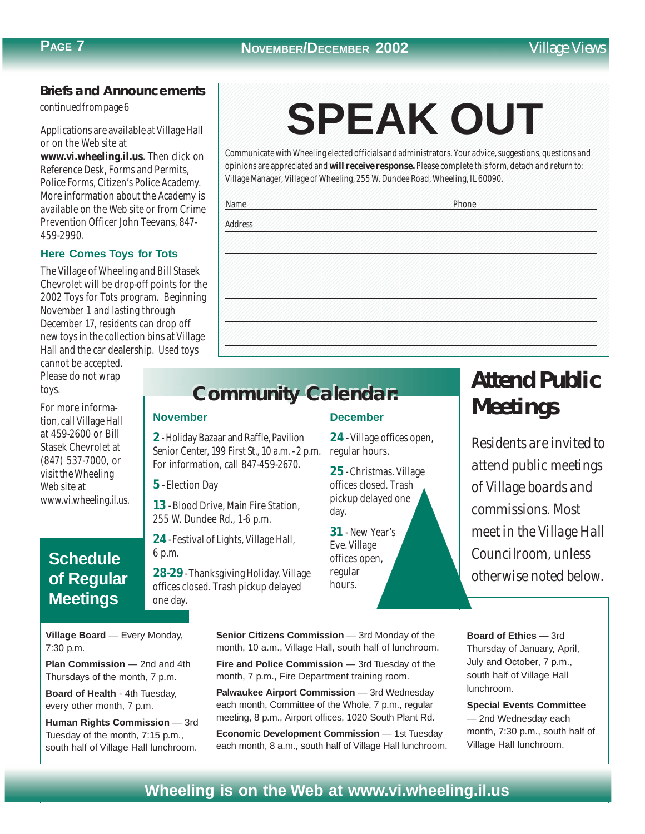### **Briefs and Announcements**

*continued from page 6*

Applications are available at Village Hall or on the Web site at

**www.vi.wheeling.il.us**. Then click on Reference Desk, Forms and Permits, Police Forms, Citizen's Police Academy. More information about the Academy is available on the Web site or from Crime Prevention Officer John Teevans, 847- 459-2990.

#### **Here Comes Toys for Tots**

The Village of Wheeling and Bill Stasek Chevrolet will be drop-off points for the 2002 Toys for Tots program. Beginning November 1 and lasting through December 17, residents can drop off new toys in the collection bins at Village Hall and the car dealership. Used toys

cannot be accepted. Please do not wrap toys.

For more information, call Village Hall at 459-2600 or Bill Stasek Chevrolet at (847) 537-7000, or visit the Wheeling Web site at www.vi.wheeling.il.us.

### **Schedule of Regular Meetings**

**Village Board** — Every Monday, 7:30 p.m.

**Plan Commission** — 2nd and 4th Thursdays of the month, 7 p.m.

**Board of Health** - 4th Tuesday, every other month, 7 p.m.

**Human Rights Commission** — 3rd Tuesday of the month, 7:15 p.m., south half of Village Hall lunchroom.

#### 1234567890123456789012345678901212345678901234567890123456789012123456789012345678901234567890121234567890123456 1234567890123456789012345678901212345678901234567890123456789012123456789012345678901234567890121234567890123456 1234567890123456789012345678901212345678901234567890123456789012123456789012345678901234567890121234567890123456 SPEAK OUT 1234567890123456789012345678901212345678901234567890123456789012123456789012345678901234567890121234567890123456 1234567890123456789012345678901212345678901234567890123456789012123456789012345678901234567890121234567890123456 1234567890123456789012345678901212345678901234567890123456789012123456789012345678901234567890121234567890123456 1234567890123456789012345678901212345678901234567890123456789012123456789012345678901234567890121234567890123456 **SPEAK OUT**

1234567890123456789012345678901212345678901234567890123456789012123456789012345678901234567890121234567890123456 1234567890123456789012345678901212345678901234567890123456789012123456789012345678901234567890121234567890123456

1 6 Communicate with Wheeling elected officials and administrators. Your advice, suggestions, questions and 1234567890123456789012345678901212345678901234567890123456789012123456789012345678901234567890121234567890123456 opinions are appreciated and will receive response. Please complete this form, detach and return to: 1234567890123456789012345678901212345678901234567890123456789012123456789012345678901234567890121234567890123456 Village Manager, Village of Wheeling, 255 W. Dundee Road, Wheeling, IL 60090. Manager Manager, Village of Wheeling, 255 W. Dundee Road, Wheeling, IL 60090.

1234567890123456789012345678901212345678901234567890123456789012123456789012345678901234567890121234567890123456 1234567890123456789012345678901212345678901234567890123456789012123456789012345678901234567890121234567890123456 1234567890123456789012345678901212345678901234567890123456789012123456789012345678901234567890121234567890123456 1234567890123456789012345678901212345678901234567890123456789012123456789012345678901234567890121234567890123456

1234567890123456789012345678901212345678901234567890123456789012123456789012345678901234567890121234567890123456 1234567890123456789012345678901212345678901234567890123456789012123456789012345678901234567890121234567890123456

1234567890123456789012345678901212345678901234567890123456789012123456789012345678901234567890121234567890123456 1234567890123456789012345678901212345678901234567890123456789012123456789012345678901234567890121234567890123456 1 6 1234567890123456789012345678901212345678901234567890123456789012123456789012345678901234567890121234567890123456 1234567890123456789012345678901212345678901234567890123456789012123456789012345678901234567890121234567890123456 1234567890123456789012345678901212345678901234567890123456789012123456789012345678901234567890121234567890123456 1234567890123456789012345678901212345678901234567890123456789012123456789012345678901234567890121234567890123456 1 6 1234567890123456789012345678901212345678901234567890123456789012123456789012345678901234567890121234567890123456 1234567890123456789012345678901212345678901234567890123456789012123456789012345678901234567890121234567890123456 1234567890123456789012345678901212345678901234567890123456789012123456789012345678901234567890121234567890123456 1234567890123456789012345678901212345678901234567890123456789012123456789012345678901234567890121234567890123456 1234567890123456789012345678901212345678901234567890123456789012123456789012345678901234567890121234567890123456 1234567890123456789012345678901212345678901234567890123456789012123456789012345678901234567890121234567890123456 1234567890123456789012345678901212345678901234567890123456789012123456789012345678901234567890121234567890123456 1234567890123456789012345678901212345678901234567890123456789012123456789012345678901234567890121234567890123456 1234567890123456789012345678901212345678901234567890123456789012123456789012345678901234567890121234567890123456 1234567890123456789012345678901212345678901234567890123456789012123456789012345678901234567890121234567890123456 1234567890123456789012345678901212345678901234567890123456789012123456789012345678901234567890121234567890123456 1234567890123456789012345678901212345678901234567890123456789012123456789012345678901234567890121234567890123456 1234567890123456789012345678901212345678901234567890123456789012123456789012345678901234567890121234567890123456 1234567890123456789012345678901212345678901234567890123456789012123456789012345678901234567890121234567890123456 1234567890123456789012345678901212345678901234567890123456789012123456789012345678901234567890121234567890123456 1234567890123456789012345678901212345678901234567890123456789012123456789012345678901234567890121234567890123456 1234567890123456789012345678901212345678901234567890123456789012123456789012345678901234567890121234567890123456 1234567890123456789012345678901212345678901234567890123456789012123456789012345678901234567890121234567890123456 1234567890123456789012345678901212345678901234567890123456789012123456789012345678901234567890121234567890123456 1234567890123456789012345678901212345678901234567890123456789012123456789012345678901234567890121234567890123456 1234567890123456789012345678901212345678901234567890123456789012123456789012345678901234567890121234567890123456 1234567890123456789012345678901212345678901234567890123456789012123456789012345678901234567890121234567890123456 1234567890123456789012345678901212345678901234567890123456789012123456789012345678901234567890121234567890123456 1234567890123456789012345678901212345678901234567890123456789012123456789012345678901234567890121234567890123456 1234567890123456789012345678901212345678901234567890123456789012123456789012345678901234567890121234567890123456 1234567890123456789012345678901212345678901234567890123456789012123456789012345678901234567890121234567890123456 1234567890123456789012345678901212345678901234567890123456789012123456789012345678901234567890121234567890123456 1234567890123456789012345678901212345678901234567890123456789012123456789012345678901234567890121234567890123456 1234567890123456789012345678901212345678901234567890123456789012123456789012345678901234567890121234567890123456

1234567890123456789012345678901212345678901234567890123456789012123456789012345678901234567890121234567890123456 12366888888888888912345678156781123456787813456781567815678157878781890123456781567811234567878112345678012345 12346887890123456789012345678112345678781123456781123456787878789123456789023456789012345678781123456789012345 Name Phone

1234567890123456789012345678901212345678901234567890123456789012123456789012345678901234567890121234567890123456 1234567890123456789012345678901212345678901234567890123456789012123456789012345678901234567890121234567890123456 1234567890123456789012345678901212345678901234567890123456789012123456789012345678901234567890121234567890123456 Address

#### **November**

**2** - Holiday Bazaar and Raffle, Pavilion Senior Center, 199 First St., 10 a.m. - 2 p.m. For information, call 847-459-2670.

**5** - Election Day

**13** - Blood Drive, Main Fire Station, 255 W. Dundee Rd., 1-6 p.m.

**24** - Festival of Lights, Village Hall, 6 p.m.

**28-29** - Thanksgiving Holiday. Village offices closed. Trash pickup delayed one day.

#### **December**

**24** - Village offices open, regular hours.

**25** - Christmas. Village offices closed. Trash pickup delayed one day.

**31** - New Year's Eve. Village offices open, regular hours.

## *Attend Public Meetings*

*Residents are invited to attend public meetings of Village boards and commissions. Most meet in the Village Hall Councilroom, unless otherwise noted below.*

**Senior Citizens Commission** - 3rd Monday of the month, 10 a.m., Village Hall, south half of lunchroom.

**Fire and Police Commission** — 3rd Tuesday of the month, 7 p.m., Fire Department training room.

**Palwaukee Airport Commission** — 3rd Wednesday each month, Committee of the Whole, 7 p.m., regular meeting, 8 p.m., Airport offices, 1020 South Plant Rd.

**Economic Development Commission — 1st Tuesday** each month, 8 a.m., south half of Village Hall lunchroom. **Board of Ethics** — 3rd Thursday of January, April, July and October, 7 p.m., south half of Village Hall lunchroom.

**Special Events Committee** — 2nd Wednesday each month, 7:30 p.m., south half of Village Hall lunchroom.

### **Wheeling is on the Web at www.vi.wheeling.il.us**

# **Community Calendar: Community Calendar:**